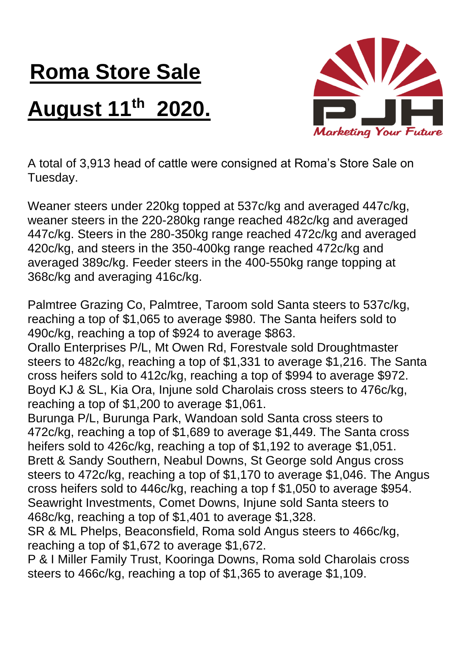## **Roma Store Sale August 11th 2020.**



A total of 3,913 head of cattle were consigned at Roma's Store Sale on Tuesday.

Weaner steers under 220kg topped at 537c/kg and averaged 447c/kg, weaner steers in the 220-280kg range reached 482c/kg and averaged 447c/kg. Steers in the 280-350kg range reached 472c/kg and averaged 420c/kg, and steers in the 350-400kg range reached 472c/kg and averaged 389c/kg. Feeder steers in the 400-550kg range topping at 368c/kg and averaging 416c/kg.

Palmtree Grazing Co, Palmtree, Taroom sold Santa steers to 537c/kg, reaching a top of \$1,065 to average \$980. The Santa heifers sold to 490c/kg, reaching a top of \$924 to average \$863.

Orallo Enterprises P/L, Mt Owen Rd, Forestvale sold Droughtmaster steers to 482c/kg, reaching a top of \$1,331 to average \$1,216. The Santa cross heifers sold to 412c/kg, reaching a top of \$994 to average \$972. Boyd KJ & SL, Kia Ora, Injune sold Charolais cross steers to 476c/kg, reaching a top of \$1,200 to average \$1,061.

Burunga P/L, Burunga Park, Wandoan sold Santa cross steers to 472c/kg, reaching a top of \$1,689 to average \$1,449. The Santa cross heifers sold to 426c/kg, reaching a top of \$1,192 to average \$1,051. Brett & Sandy Southern, Neabul Downs, St George sold Angus cross steers to 472c/kg, reaching a top of \$1,170 to average \$1,046. The Angus cross heifers sold to 446c/kg, reaching a top f \$1,050 to average \$954. Seawright Investments, Comet Downs, Injune sold Santa steers to 468c/kg, reaching a top of \$1,401 to average \$1,328.

SR & ML Phelps, Beaconsfield, Roma sold Angus steers to 466c/kg, reaching a top of \$1,672 to average \$1,672.

P & I Miller Family Trust, Kooringa Downs, Roma sold Charolais cross steers to 466c/kg, reaching a top of \$1,365 to average \$1,109.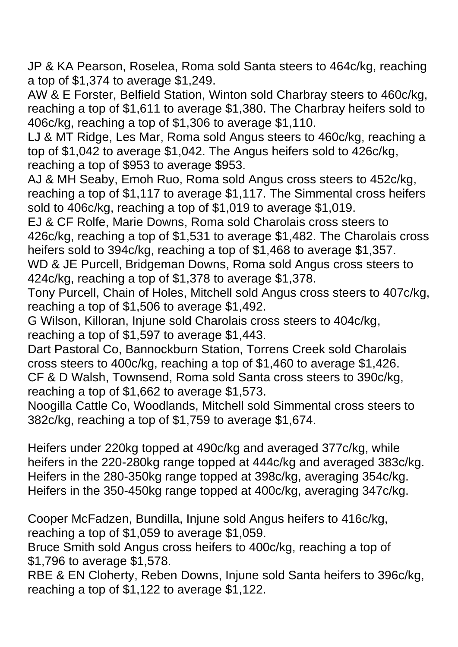JP & KA Pearson, Roselea, Roma sold Santa steers to 464c/kg, reaching a top of \$1,374 to average \$1,249.

AW & E Forster, Belfield Station, Winton sold Charbray steers to 460c/kg, reaching a top of \$1,611 to average \$1,380. The Charbray heifers sold to 406c/kg, reaching a top of \$1,306 to average \$1,110.

LJ & MT Ridge, Les Mar, Roma sold Angus steers to 460c/kg, reaching a top of \$1,042 to average \$1,042. The Angus heifers sold to 426c/kg, reaching a top of \$953 to average \$953.

AJ & MH Seaby, Emoh Ruo, Roma sold Angus cross steers to 452c/kg, reaching a top of \$1,117 to average \$1,117. The Simmental cross heifers sold to 406c/kg, reaching a top of \$1,019 to average \$1,019.

EJ & CF Rolfe, Marie Downs, Roma sold Charolais cross steers to 426c/kg, reaching a top of \$1,531 to average \$1,482. The Charolais cross heifers sold to 394c/kg, reaching a top of \$1,468 to average \$1,357.

WD & JE Purcell, Bridgeman Downs, Roma sold Angus cross steers to 424c/kg, reaching a top of \$1,378 to average \$1,378.

Tony Purcell, Chain of Holes, Mitchell sold Angus cross steers to 407c/kg, reaching a top of \$1,506 to average \$1,492.

G Wilson, Killoran, Injune sold Charolais cross steers to 404c/kg, reaching a top of \$1,597 to average \$1,443.

Dart Pastoral Co, Bannockburn Station, Torrens Creek sold Charolais cross steers to 400c/kg, reaching a top of \$1,460 to average \$1,426. CF & D Walsh, Townsend, Roma sold Santa cross steers to 390c/kg, reaching a top of \$1,662 to average \$1,573.

Noogilla Cattle Co, Woodlands, Mitchell sold Simmental cross steers to 382c/kg, reaching a top of \$1,759 to average \$1,674.

Heifers under 220kg topped at 490c/kg and averaged 377c/kg, while heifers in the 220-280kg range topped at 444c/kg and averaged 383c/kg. Heifers in the 280-350kg range topped at 398c/kg, averaging 354c/kg. Heifers in the 350-450kg range topped at 400c/kg, averaging 347c/kg.

Cooper McFadzen, Bundilla, Injune sold Angus heifers to 416c/kg, reaching a top of \$1,059 to average \$1,059.

Bruce Smith sold Angus cross heifers to 400c/kg, reaching a top of \$1,796 to average \$1,578.

RBE & EN Cloherty, Reben Downs, Injune sold Santa heifers to 396c/kg, reaching a top of \$1,122 to average \$1,122.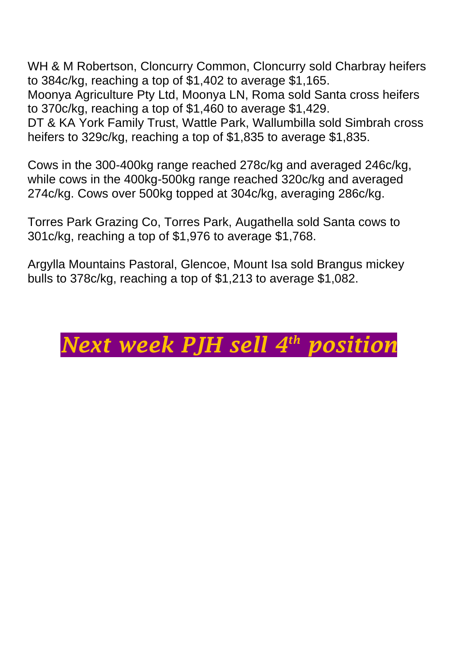WH & M Robertson, Cloncurry Common, Cloncurry sold Charbray heifers to 384c/kg, reaching a top of \$1,402 to average \$1,165. Moonya Agriculture Pty Ltd, Moonya LN, Roma sold Santa cross heifers to 370c/kg, reaching a top of \$1,460 to average \$1,429.

DT & KA York Family Trust, Wattle Park, Wallumbilla sold Simbrah cross heifers to 329c/kg, reaching a top of \$1,835 to average \$1,835.

Cows in the 300-400kg range reached 278c/kg and averaged 246c/kg, while cows in the 400kg-500kg range reached 320c/kg and averaged 274c/kg. Cows over 500kg topped at 304c/kg, averaging 286c/kg.

Torres Park Grazing Co, Torres Park, Augathella sold Santa cows to 301c/kg, reaching a top of \$1,976 to average \$1,768.

Argylla Mountains Pastoral, Glencoe, Mount Isa sold Brangus mickey bulls to 378c/kg, reaching a top of \$1,213 to average \$1,082.